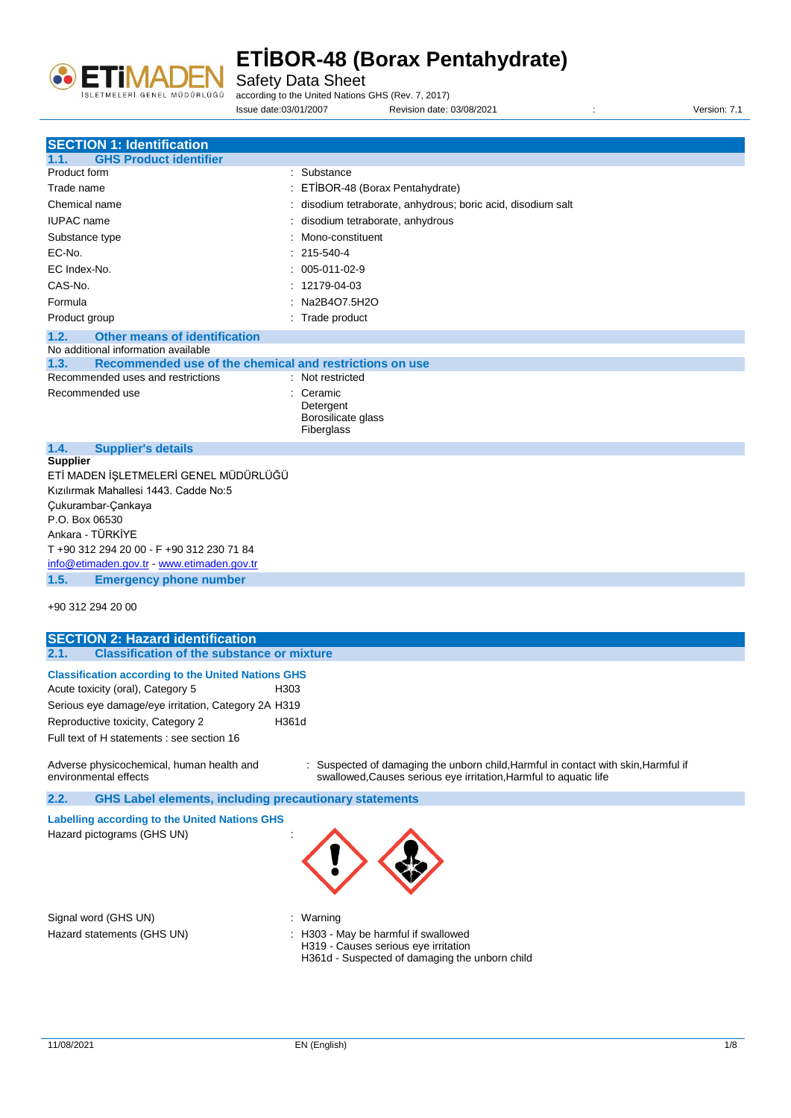

Safety Data Sheet

according to the United Nations GHS (Rev. 7, 2017)

Issue date:03/01/2007 Revision date: 03/08/2021 : Version: 7.1

| <b>SECTION 1: Identification</b>                                               |                                                                                                                                                         |
|--------------------------------------------------------------------------------|---------------------------------------------------------------------------------------------------------------------------------------------------------|
| <b>GHS Product identifier</b><br>1.1.                                          |                                                                                                                                                         |
| Product form                                                                   | : Substance                                                                                                                                             |
| Trade name                                                                     | ETİBOR-48 (Borax Pentahydrate)                                                                                                                          |
| Chemical name                                                                  | disodium tetraborate, anhydrous; boric acid, disodium salt                                                                                              |
| <b>IUPAC</b> name                                                              | disodium tetraborate, anhydrous                                                                                                                         |
| Substance type                                                                 | Mono-constituent                                                                                                                                        |
| EC-No.                                                                         | 215-540-4                                                                                                                                               |
| EC Index-No.                                                                   | 005-011-02-9                                                                                                                                            |
| CAS-No.                                                                        | $: 12179-04-03$                                                                                                                                         |
| Formula                                                                        | Na2B4O7.5H2O                                                                                                                                            |
| Product group                                                                  | : Trade product                                                                                                                                         |
| 1.2.<br><b>Other means of identification</b>                                   |                                                                                                                                                         |
| No additional information available                                            |                                                                                                                                                         |
| Recommended use of the chemical and restrictions on use<br>1.3.                |                                                                                                                                                         |
| Recommended uses and restrictions                                              | : Not restricted                                                                                                                                        |
| Recommended use                                                                | : Ceramic                                                                                                                                               |
|                                                                                | Detergent                                                                                                                                               |
|                                                                                | Borosilicate glass                                                                                                                                      |
|                                                                                | Fiberglass                                                                                                                                              |
| 1.4.<br><b>Supplier's details</b>                                              |                                                                                                                                                         |
| <b>Supplier</b>                                                                |                                                                                                                                                         |
| ETİ MADEN İŞLETMELERİ GENEL MÜDÜRLÜĞÜ<br>Kızılırmak Mahallesi 1443. Cadde No:5 |                                                                                                                                                         |
|                                                                                |                                                                                                                                                         |
| Çukurambar-Çankaya<br>P.O. Box 06530                                           |                                                                                                                                                         |
| Ankara - TÜRKİYE                                                               |                                                                                                                                                         |
| T +90 312 294 20 00 - F +90 312 230 71 84                                      |                                                                                                                                                         |
| info@etimaden.gov.tr - www.etimaden.gov.tr                                     |                                                                                                                                                         |
| 1.5.<br><b>Emergency phone number</b>                                          |                                                                                                                                                         |
|                                                                                |                                                                                                                                                         |
| +90 312 294 20 00                                                              |                                                                                                                                                         |
|                                                                                |                                                                                                                                                         |
| <b>SECTION 2: Hazard identification</b>                                        |                                                                                                                                                         |
| 2.1.<br><b>Classification of the substance or mixture</b>                      |                                                                                                                                                         |
| <b>Classification according to the United Nations GHS</b>                      |                                                                                                                                                         |
| Acute toxicity (oral), Category 5<br>H303                                      |                                                                                                                                                         |
| Serious eye damage/eye irritation, Category 2A H319                            |                                                                                                                                                         |
| Reproductive toxicity, Category 2<br>H361d                                     |                                                                                                                                                         |
| Full text of H statements : see section 16                                     |                                                                                                                                                         |
|                                                                                |                                                                                                                                                         |
| Adverse physicochemical, human health and<br>environmental effects             | : Suspected of damaging the unborn child, Harmful in contact with skin, Harmful if<br>swallowed, Causes serious eye irritation, Harmful to aquatic life |
| 2.2.<br><b>GHS Label elements, including precautionary statements</b>          |                                                                                                                                                         |
| <b>Labelling according to the United Nations GHS</b>                           |                                                                                                                                                         |
| Hazard pictograms (GHS UN)                                                     |                                                                                                                                                         |
|                                                                                |                                                                                                                                                         |
|                                                                                |                                                                                                                                                         |
|                                                                                |                                                                                                                                                         |
|                                                                                |                                                                                                                                                         |
|                                                                                |                                                                                                                                                         |

Signal word (GHS UN)  $\qquad \qquad$ : Warning

- 
- Hazard statements (GHS UN) : H303 May be harmful if swallowed H319 - Causes serious eye irritation H361d - Suspected of damaging the unborn child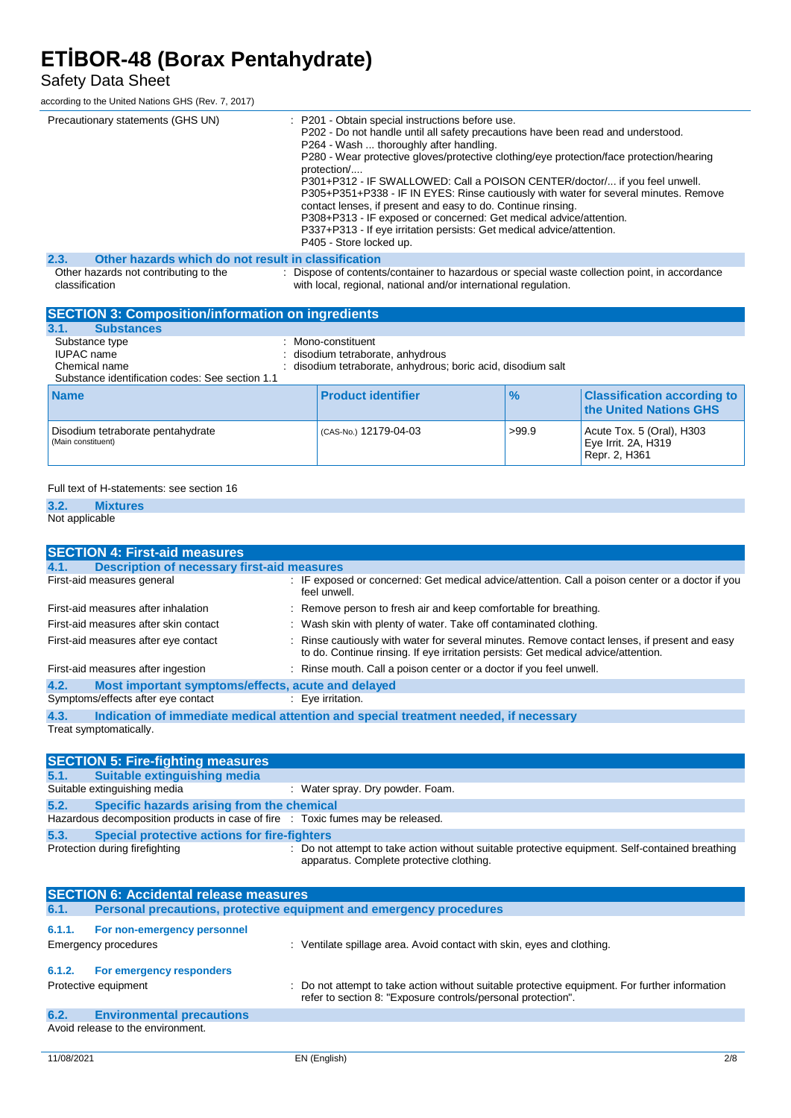#### Safety Data Sheet

according to the United Nations GHS (Rev. 7, 2017)

| Precautionary statements (GHS UN)                           | : P201 - Obtain special instructions before use.<br>P202 - Do not handle until all safety precautions have been read and understood.<br>P264 - Wash  thoroughly after handling.<br>P280 - Wear protective gloves/protective clothing/eye protection/face protection/hearing<br>protection/<br>P301+P312 - IF SWALLOWED: Call a POISON CENTER/doctor/ if you feel unwell.<br>P305+P351+P338 - IF IN EYES: Rinse cautiously with water for several minutes. Remove<br>contact lenses, if present and easy to do. Continue rinsing.<br>P308+P313 - IF exposed or concerned: Get medical advice/attention.<br>P337+P313 - If eye irritation persists: Get medical advice/attention.<br>P405 - Store locked up. |
|-------------------------------------------------------------|------------------------------------------------------------------------------------------------------------------------------------------------------------------------------------------------------------------------------------------------------------------------------------------------------------------------------------------------------------------------------------------------------------------------------------------------------------------------------------------------------------------------------------------------------------------------------------------------------------------------------------------------------------------------------------------------------------|
| 2.3.<br>Other hazards which do not result in classification |                                                                                                                                                                                                                                                                                                                                                                                                                                                                                                                                                                                                                                                                                                            |
| Other hazards not contributing to the<br>classification     | : Dispose of contents/container to hazardous or special waste collection point, in accordance<br>with local, regional, national and/or international regulation.                                                                                                                                                                                                                                                                                                                                                                                                                                                                                                                                           |

| <b>SECTION 3: Composition/information on ingredients</b>                                                |                                                                                                                     |               |                                                                   |
|---------------------------------------------------------------------------------------------------------|---------------------------------------------------------------------------------------------------------------------|---------------|-------------------------------------------------------------------|
| <b>Substances</b><br>3.1.                                                                               |                                                                                                                     |               |                                                                   |
| Substance type<br><b>IUPAC</b> name<br>Chemical name<br>Substance identification codes: See section 1.1 | : Mono-constituent<br>disodium tetraborate, anhydrous<br>disodium tetraborate, anhydrous; boric acid, disodium salt |               |                                                                   |
| <b>Name</b>                                                                                             | <b>Product identifier</b>                                                                                           | $\frac{9}{6}$ | <b>Classification according to</b><br>the United Nations GHS      |
| Disodium tetraborate pentahydrate<br>(Main constituent)                                                 | (CAS-No.) 12179-04-03                                                                                               | >99.9         | Acute Tox. 5 (Oral), H303<br>Eye Irrit. 2A, H319<br>Repr. 2, H361 |

#### Full text of H-statements: see section 16

### **3.2. Mixtures**

Not applicable

| <b>SECTION 4: First-aid measures</b>                       |                                                                                                                                                                                     |
|------------------------------------------------------------|-------------------------------------------------------------------------------------------------------------------------------------------------------------------------------------|
| <b>Description of necessary first-aid measures</b><br>4.1. |                                                                                                                                                                                     |
| First-aid measures general                                 | : IF exposed or concerned: Get medical advice/attention. Call a poison center or a doctor if you<br>feel unwell.                                                                    |
| First-aid measures after inhalation                        | : Remove person to fresh air and keep comfortable for breathing.                                                                                                                    |
| First-aid measures after skin contact                      | : Wash skin with plenty of water. Take off contaminated clothing.                                                                                                                   |
| First-aid measures after eye contact                       | : Rinse cautiously with water for several minutes. Remove contact lenses, if present and easy<br>to do. Continue rinsing. If eye irritation persists: Get medical advice/attention. |
| First-aid measures after ingestion                         | : Rinse mouth. Call a poison center or a doctor if you feel unwell.                                                                                                                 |
| Most important symptoms/effects, acute and delayed<br>4.2. |                                                                                                                                                                                     |
| Symptoms/effects after eye contact                         | : Eye irritation.                                                                                                                                                                   |
| 4.3.                                                       | Indication of immediate medical attention and special treatment needed, if necessary                                                                                                |
| Treat symptomatically.                                     |                                                                                                                                                                                     |

|      | <b>SECTION 5: Fire-fighting measures</b>                                        |                                                                                                                                             |
|------|---------------------------------------------------------------------------------|---------------------------------------------------------------------------------------------------------------------------------------------|
|      | 5.1. Suitable extinguishing media                                               |                                                                                                                                             |
|      | Suitable extinguishing media                                                    | : Water spray. Dry powder. Foam.                                                                                                            |
| 5.2. | Specific hazards arising from the chemical                                      |                                                                                                                                             |
|      | Hazardous decomposition products in case of fire : Toxic fumes may be released. |                                                                                                                                             |
| 5.3. | Special protective actions for fire-fighters                                    |                                                                                                                                             |
|      | Protection during firefighting                                                  | : Do not attempt to take action without suitable protective equipment. Self-contained breathing<br>apparatus. Complete protective clothing. |

| <b>SECTION 6: Accidental release measures</b> |                                                                     |                                                                                                                                                                |  |
|-----------------------------------------------|---------------------------------------------------------------------|----------------------------------------------------------------------------------------------------------------------------------------------------------------|--|
| 6.1.                                          | Personal precautions, protective equipment and emergency procedures |                                                                                                                                                                |  |
| 6.1.1.                                        | For non-emergency personnel<br><b>Emergency procedures</b>          | : Ventilate spillage area. Avoid contact with skin, eyes and clothing.                                                                                         |  |
| 6.1.2.                                        | For emergency responders                                            |                                                                                                                                                                |  |
|                                               | Protective equipment                                                | : Do not attempt to take action without suitable protective equipment. For further information<br>refer to section 8: "Exposure controls/personal protection". |  |
| 6.2.                                          | <b>Environmental precautions</b>                                    |                                                                                                                                                                |  |
|                                               | Avoid release to the environment.                                   |                                                                                                                                                                |  |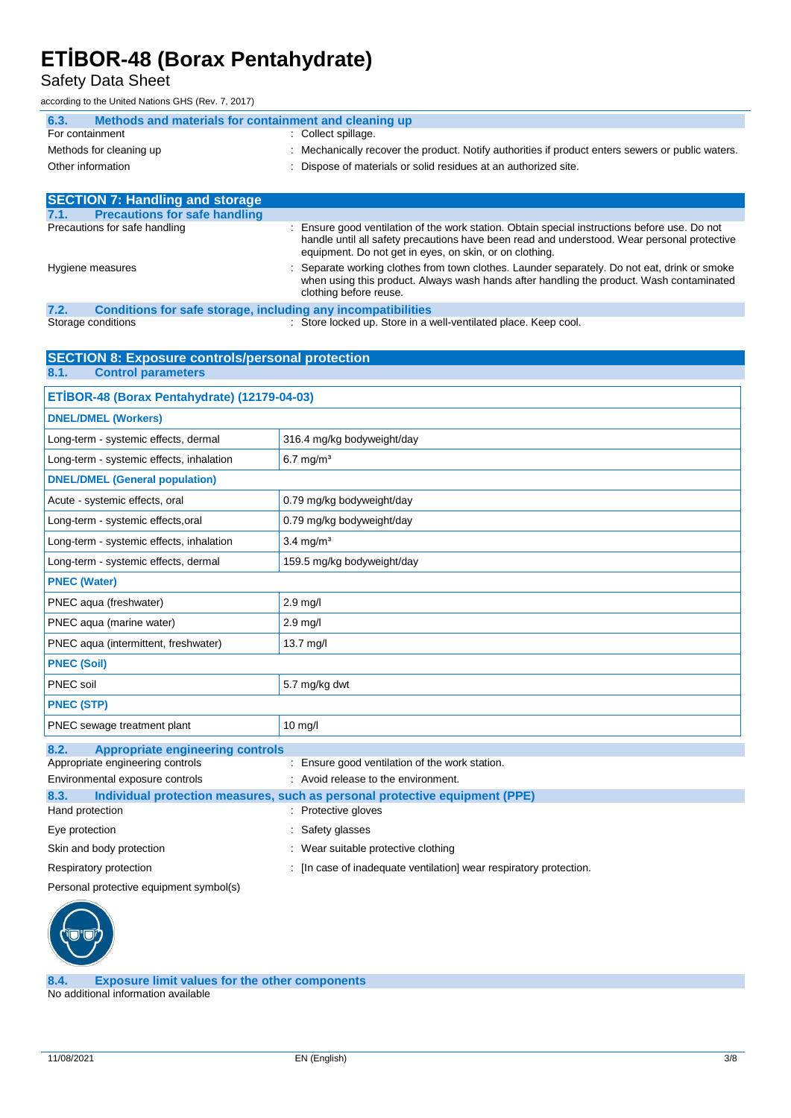Safety Data Sheet

according to the United Nations GHS (Rev. 7, 2017)

| Methods and materials for containment and cleaning up<br>6.3. |                                                                                                                                                                                                                                                       |
|---------------------------------------------------------------|-------------------------------------------------------------------------------------------------------------------------------------------------------------------------------------------------------------------------------------------------------|
| For containment                                               | : Collect spillage.                                                                                                                                                                                                                                   |
| Methods for cleaning up                                       | Mechanically recover the product. Notify authorities if product enters sewers or public waters.                                                                                                                                                       |
| Other information                                             | : Dispose of materials or solid residues at an authorized site.                                                                                                                                                                                       |
|                                                               |                                                                                                                                                                                                                                                       |
| <b>SECTION 7: Handling and storage</b>                        |                                                                                                                                                                                                                                                       |
| <b>Precautions for safe handling</b><br>7.1.                  |                                                                                                                                                                                                                                                       |
| Precautions for safe handling                                 | Ensure good ventilation of the work station. Obtain special instructions before use. Do not<br>handle until all safety precautions have been read and understood. Wear personal protective<br>equipment. Do not get in eyes, on skin, or on clothing. |

Hygiene measures : Separate working clothes from town clothes. Launder separately. Do not eat, drink or smoke

| .             | clothing before reuse.                                              | when using this product. Always wash hands after handling the product. Wash contaminated |
|---------------|---------------------------------------------------------------------|------------------------------------------------------------------------------------------|
| 7.2.          | <b>Conditions for safe storage, including any incompatibilities</b> |                                                                                          |
| $\sim$ $\sim$ |                                                                     |                                                                                          |

Storage conditions : Store locked up. Store in a well-ventilated place. Keep cool.

#### **SECTION 8: Exposure controls/personal protection 8.1. Control parameters**

| ETİBOR-48 (Borax Pentahydrate) (12179-04-03)                                        |                                                |  |
|-------------------------------------------------------------------------------------|------------------------------------------------|--|
| <b>DNEL/DMEL (Workers)</b>                                                          |                                                |  |
| Long-term - systemic effects, dermal                                                | 316.4 mg/kg bodyweight/day                     |  |
| Long-term - systemic effects, inhalation                                            | $6.7$ mg/m <sup>3</sup>                        |  |
| <b>DNEL/DMEL (General population)</b>                                               |                                                |  |
| Acute - systemic effects, oral                                                      | 0.79 mg/kg bodyweight/day                      |  |
| Long-term - systemic effects, oral                                                  | 0.79 mg/kg bodyweight/day                      |  |
| Long-term - systemic effects, inhalation                                            | $3.4 \text{ mg/m}^3$                           |  |
| Long-term - systemic effects, dermal                                                | 159.5 mg/kg bodyweight/day                     |  |
| <b>PNEC (Water)</b>                                                                 |                                                |  |
| PNEC aqua (freshwater)                                                              | $2.9$ mg/l                                     |  |
| PNEC aqua (marine water)                                                            | $2.9$ mg/l                                     |  |
| PNEC aqua (intermittent, freshwater)                                                | 13.7 mg/l                                      |  |
| <b>PNEC (Soil)</b>                                                                  |                                                |  |
| PNEC soil                                                                           | 5.7 mg/kg dwt                                  |  |
| <b>PNEC (STP)</b>                                                                   |                                                |  |
| PNEC sewage treatment plant                                                         | $10 \text{ mg/l}$                              |  |
| <b>Appropriate engineering controls</b><br>8.2.                                     |                                                |  |
| Appropriate engineering controls                                                    | : Ensure good ventilation of the work station. |  |
| Environmental exposure controls                                                     | : Avoid release to the environment.            |  |
| Individual protection measures, such as personal protective equipment (PPE)<br>8.3. |                                                |  |
| Hand protection                                                                     | : Protective gloves                            |  |
| Eye protection                                                                      | Safety glasses                                 |  |
| Skin and body protection                                                            | : Wear suitable protective clothing            |  |

Respiratory protection : [In case of inadequate ventilation] wear respiratory protection.

Personal protective equipment symbol(s)



**8.4. Exposure limit values for the other components** No additional information available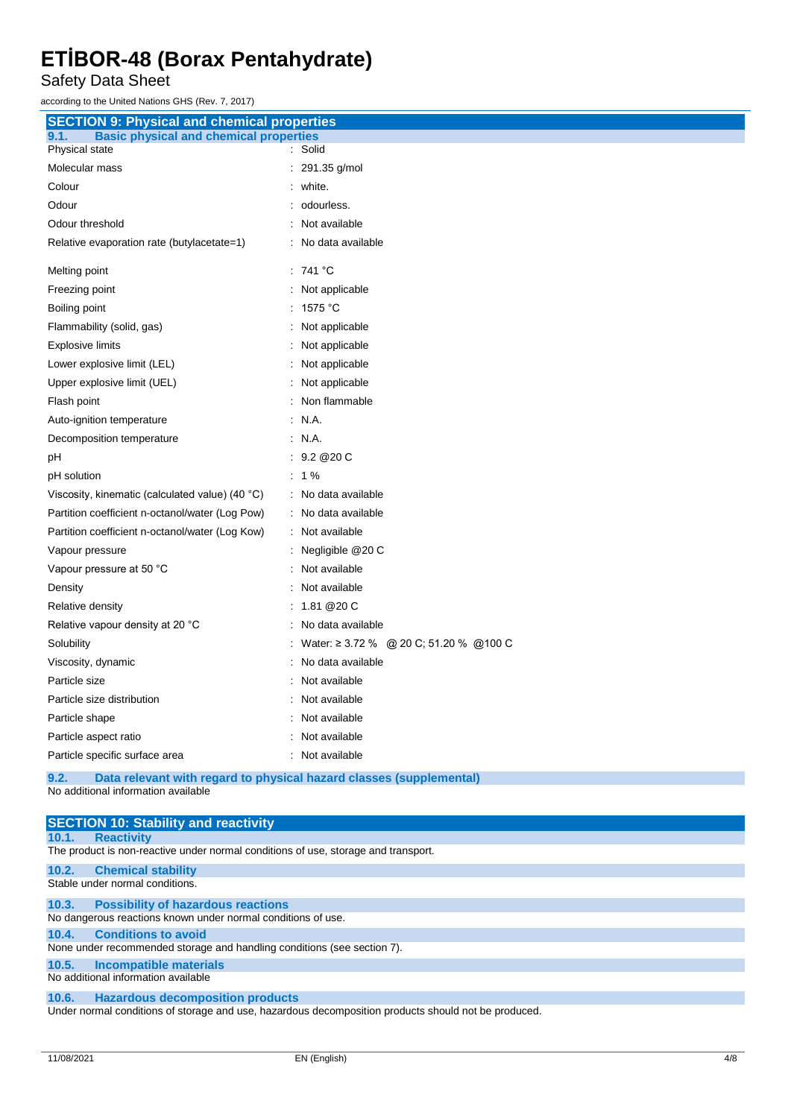Safety Data Sheet

according to the United Nations GHS (Rev. 7, 2017)

| <b>SECTION 9: Physical and chemical properties</b>    |                                         |
|-------------------------------------------------------|-----------------------------------------|
| <b>Basic physical and chemical properties</b><br>9.1. |                                         |
| Physical state                                        | Solid                                   |
| Molecular mass                                        | 291.35 g/mol                            |
| Colour                                                | white.                                  |
| Odour                                                 | odourless.                              |
| Odour threshold                                       | Not available                           |
| Relative evaporation rate (butylacetate=1)            | No data available                       |
| Melting point                                         | : 741 °C                                |
| Freezing point                                        | : Not applicable                        |
| Boiling point                                         | 1575 °C                                 |
| Flammability (solid, gas)                             | Not applicable                          |
| <b>Explosive limits</b>                               | Not applicable                          |
| Lower explosive limit (LEL)                           | Not applicable                          |
| Upper explosive limit (UEL)                           | Not applicable                          |
| Flash point                                           | Non flammable                           |
| Auto-ignition temperature                             | N.A.                                    |
| Decomposition temperature                             | : N.A.                                  |
| рH                                                    | : 9.2@20C                               |
| pH solution                                           | $: 1\%$                                 |
| Viscosity, kinematic (calculated value) (40 °C)       | : No data available                     |
| Partition coefficient n-octanol/water (Log Pow)       | : No data available                     |
| Partition coefficient n-octanol/water (Log Kow)       | : Not available                         |
| Vapour pressure                                       | : Negligible @20 C                      |
| Vapour pressure at 50 °C                              | Not available                           |
| Density                                               | Not available                           |
| Relative density                                      | : $1.81@20C$                            |
| Relative vapour density at 20 °C                      | No data available                       |
| Solubility                                            | Water: ≥ 3.72 % @ 20 C; 51.20 % @ 100 C |
| Viscosity, dynamic                                    | No data available                       |
| Particle size                                         | Not available                           |
| Particle size distribution                            | Not available                           |
| Particle shape                                        | Not available                           |
| Particle aspect ratio                                 | Not available                           |
| Particle specific surface area                        | Not available                           |

**9.2. Data relevant with regard to physical hazard classes (supplemental)** No additional information available

| <b>SECTION 10: Stability and reactivity</b>                                                          |
|------------------------------------------------------------------------------------------------------|
| <b>Reactivity</b><br>10.1.                                                                           |
| The product is non-reactive under normal conditions of use, storage and transport.                   |
| 10.2.<br><b>Chemical stability</b>                                                                   |
| Stable under normal conditions.                                                                      |
| <b>Possibility of hazardous reactions</b><br>10.3.                                                   |
| No dangerous reactions known under normal conditions of use.                                         |
| <b>Conditions to avoid</b><br>10.4.                                                                  |
| None under recommended storage and handling conditions (see section 7).                              |
| 10.5.<br>Incompatible materials                                                                      |
| No additional information available                                                                  |
| <b>Hazardous decomposition products</b><br>10.6.                                                     |
| Under normal conditions of storage and use, hazardous decomposition products should not be produced. |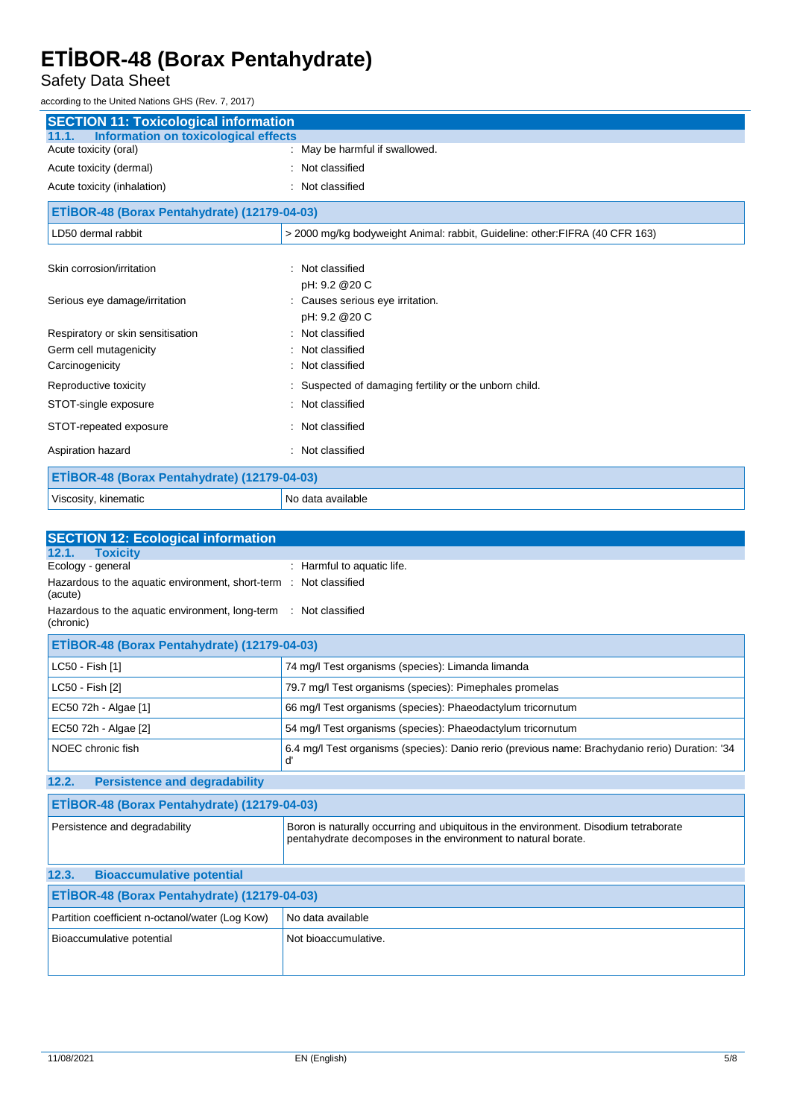Safety Data Sheet

according to the United Nations GHS (Rev. 7, 2017)

| <b>SECTION 11: Toxicological information</b>         |                                                                              |  |
|------------------------------------------------------|------------------------------------------------------------------------------|--|
| <b>Information on toxicological effects</b><br>11.1. |                                                                              |  |
| Acute toxicity (oral)                                | May be harmful if swallowed.                                                 |  |
| Acute toxicity (dermal)                              | Not classified                                                               |  |
| Acute toxicity (inhalation)                          | Not classified                                                               |  |
| ETİBOR-48 (Borax Pentahydrate) (12179-04-03)         |                                                                              |  |
| LD50 dermal rabbit                                   | > 2000 mg/kg bodyweight Animal: rabbit, Guideline: other: FIFRA (40 CFR 163) |  |
|                                                      |                                                                              |  |
| Skin corrosion/irritation                            | Not classified                                                               |  |
|                                                      | pH: 9.2 @ 20 C                                                               |  |
| Serious eye damage/irritation                        | : Causes serious eye irritation.                                             |  |
|                                                      | pH: 9.2 @ 20 C                                                               |  |
| Respiratory or skin sensitisation                    | : Not classified                                                             |  |
| Germ cell mutagenicity                               | Not classified                                                               |  |
| Carcinogenicity                                      | : Not classified                                                             |  |
| Reproductive toxicity                                | Suspected of damaging fertility or the unborn child.                         |  |
| STOT-single exposure                                 | Not classified                                                               |  |
| STOT-repeated exposure                               | : Not classified                                                             |  |
| Aspiration hazard                                    | Not classified                                                               |  |
| ETİBOR-48 (Borax Pentahydrate) (12179-04-03)         |                                                                              |  |
| Viscosity, kinematic                                 | No data available                                                            |  |

| <b>SECTION 12: Ecological information</b>                                                                                                                                              |                                                                                                      |  |
|----------------------------------------------------------------------------------------------------------------------------------------------------------------------------------------|------------------------------------------------------------------------------------------------------|--|
| <b>Toxicity</b><br>12.1.                                                                                                                                                               |                                                                                                      |  |
| Ecology - general                                                                                                                                                                      | : Harmful to aquatic life.                                                                           |  |
| Hazardous to the aquatic environment, short-term : Not classified<br>(acute)                                                                                                           |                                                                                                      |  |
| Hazardous to the aquatic environment, long-term : Not classified<br>(chronic)                                                                                                          |                                                                                                      |  |
| ETİBOR-48 (Borax Pentahydrate) (12179-04-03)                                                                                                                                           |                                                                                                      |  |
| LC50 - Fish [1]                                                                                                                                                                        | 74 mg/l Test organisms (species): Limanda limanda                                                    |  |
| LC50 - Fish [2]                                                                                                                                                                        | 79.7 mg/l Test organisms (species): Pimephales promelas                                              |  |
| EC50 72h - Algae [1]                                                                                                                                                                   | 66 mg/l Test organisms (species): Phaeodactylum tricornutum                                          |  |
| EC50 72h - Algae [2]                                                                                                                                                                   | 54 mg/l Test organisms (species): Phaeodactylum tricornutum                                          |  |
| NOEC chronic fish                                                                                                                                                                      | 6.4 mg/l Test organisms (species): Danio rerio (previous name: Brachydanio rerio) Duration: '34<br>ď |  |
| <b>Persistence and degradability</b><br>12.2.                                                                                                                                          |                                                                                                      |  |
| ETİBOR-48 (Borax Pentahydrate) (12179-04-03)                                                                                                                                           |                                                                                                      |  |
| Boron is naturally occurring and ubiquitous in the environment. Disodium tetraborate<br>Persistence and degradability<br>pentahydrate decomposes in the environment to natural borate. |                                                                                                      |  |
| <b>Bioaccumulative potential</b><br>12.3.                                                                                                                                              |                                                                                                      |  |
| ETİBOR-48 (Borax Pentahydrate) (12179-04-03)                                                                                                                                           |                                                                                                      |  |
| Partition coefficient n-octanol/water (Log Kow)                                                                                                                                        | No data available                                                                                    |  |
| Bioaccumulative potential                                                                                                                                                              | Not bioaccumulative.                                                                                 |  |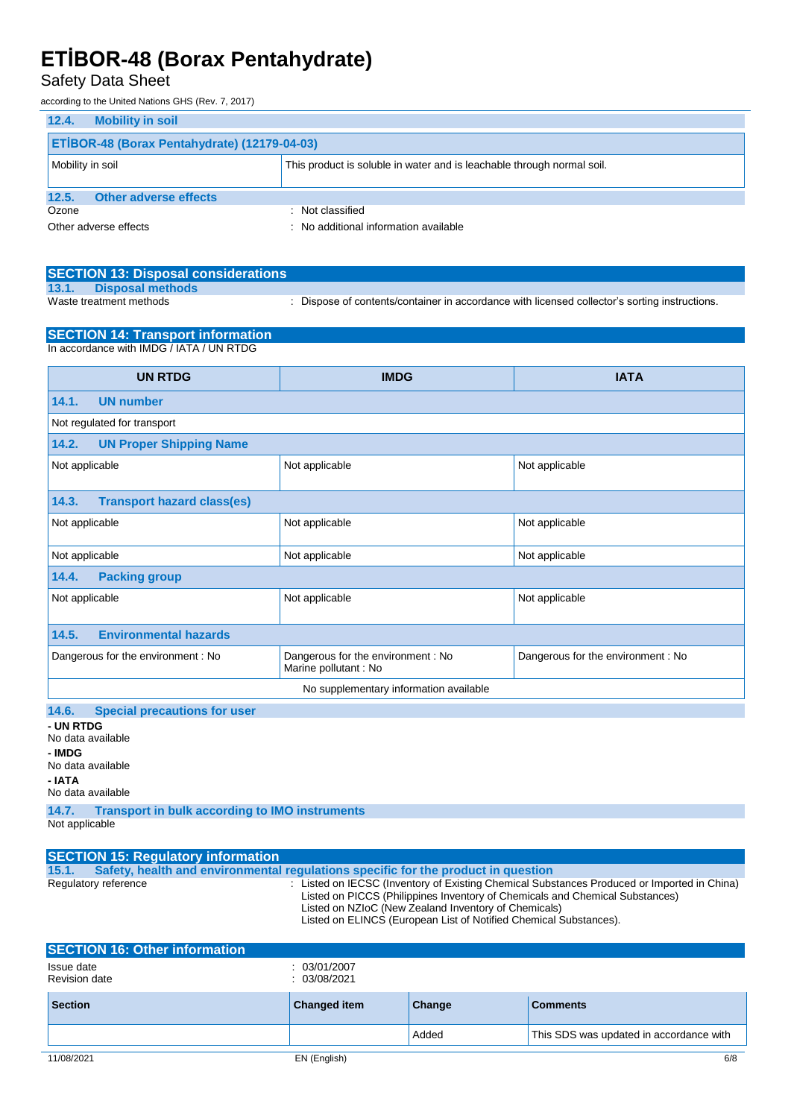#### Safety Data Sheet

according to the United Nations GHS (Rev. 7, 2017)

| 12.4.<br><b>Mobility in soil</b>                                                           |                                       |  |
|--------------------------------------------------------------------------------------------|---------------------------------------|--|
| ETIBOR-48 (Borax Pentahydrate) (12179-04-03)                                               |                                       |  |
| This product is soluble in water and is leachable through normal soil.<br>Mobility in soil |                                       |  |
| <b>Other adverse effects</b><br>12.5.                                                      |                                       |  |
| Ozone                                                                                      | : Not classified                      |  |
| Other adverse effects                                                                      | : No additional information available |  |

|       | <b>SECTION 13: Disposal considerations</b> |                                                                                               |
|-------|--------------------------------------------|-----------------------------------------------------------------------------------------------|
| 13.1. | Disposal methods                           |                                                                                               |
|       | Waste treatment methods                    | : Dispose of contents/container in accordance with licensed collector's sorting instructions. |

#### **SECTION 14: Transport information** In accordance with IMDG / IATA / UN RTDG

| <b>UN RTDG</b>                                     | <b>IMDG</b>                                                 | <b>IATA</b>                        |
|----------------------------------------------------|-------------------------------------------------------------|------------------------------------|
| <b>UN number</b><br>14.1.                          |                                                             |                                    |
| Not regulated for transport                        |                                                             |                                    |
| <b>UN Proper Shipping Name</b><br>14.2.            |                                                             |                                    |
| Not applicable                                     | Not applicable                                              | Not applicable                     |
| <b>Transport hazard class(es)</b><br>14.3.         |                                                             |                                    |
| Not applicable                                     | Not applicable                                              | Not applicable                     |
| Not applicable<br>Not applicable<br>Not applicable |                                                             |                                    |
| <b>Packing group</b><br>14.4.                      |                                                             |                                    |
| Not applicable                                     | Not applicable                                              | Not applicable                     |
| <b>Environmental hazards</b><br>14.5.              |                                                             |                                    |
| Dangerous for the environment: No                  | Dangerous for the environment : No<br>Marine pollutant : No | Dangerous for the environment : No |
| No supplementary information available             |                                                             |                                    |
| 14.6.<br><b>Special precautions for user</b>       |                                                             |                                    |

**- UN RTDG** No data available **- IMDG** No data available

**- IATA**

No data available

**14.7. Transport in bulk according to IMO instruments**

Not applicable

| <b>SECTION 15: Regulatory information</b>                                                                                                                                                                                                                                                                                        |                                                                                   |
|----------------------------------------------------------------------------------------------------------------------------------------------------------------------------------------------------------------------------------------------------------------------------------------------------------------------------------|-----------------------------------------------------------------------------------|
| 15.1.                                                                                                                                                                                                                                                                                                                            | Safety, health and environmental regulations specific for the product in question |
| : Listed on IECSC (Inventory of Existing Chemical Substances Produced or Imported in China)<br>Regulatory reference<br>Listed on PICCS (Philippines Inventory of Chemicals and Chemical Substances)<br>Listed on NZIoC (New Zealand Inventory of Chemicals)<br>Listed on ELINCS (European List of Notified Chemical Substances). |                                                                                   |
| <b>SECTION 16: Other information</b>                                                                                                                                                                                                                                                                                             |                                                                                   |

| Issue date<br>Revision date | 03/01/2007<br>03/08/2021 |        |                                         |
|-----------------------------|--------------------------|--------|-----------------------------------------|
| <b>Section</b>              | Changed item             | Change | <b>Comments</b>                         |
|                             |                          | Added  | This SDS was updated in accordance with |
| 11/08/2021                  | EN (English)             |        | 6/8                                     |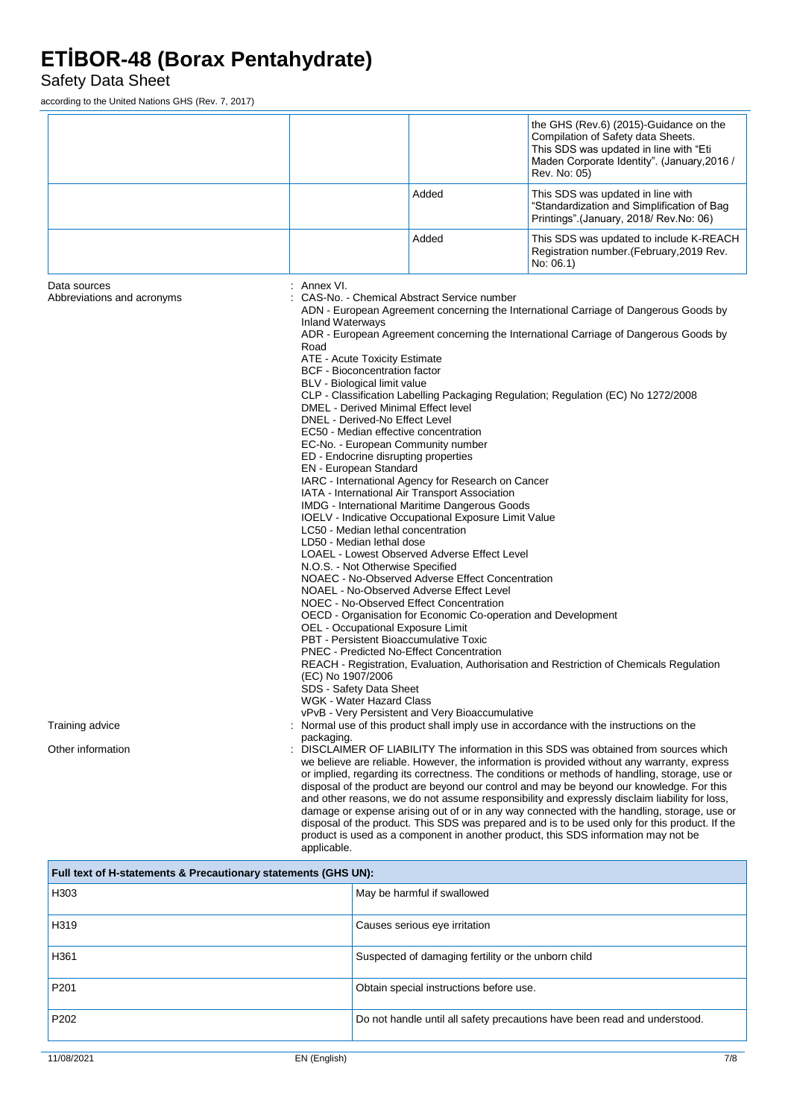Safety Data Sheet

according to the United Nations GHS (Rev. 7, 2017)

|                                            |                                                                                                                                                                                                                                                                                                                                                                                                                                                                                                                                                                                                                                                                                                                                                                                                                                                                                                                                                                                                                                                                                                                                                                                                                                                                                                                                                                                                                                                                                                                                                                                                          |                                                 | the GHS (Rev.6) (2015)-Guidance on the<br>Compilation of Safety data Sheets.<br>This SDS was updated in line with "Eti<br>Maden Corporate Identity". (January, 2016 /<br>Rev. No: 05)                                                                                                                                                                                                                                                                                                                                                                                                                                                                                                                                                                                   |
|--------------------------------------------|----------------------------------------------------------------------------------------------------------------------------------------------------------------------------------------------------------------------------------------------------------------------------------------------------------------------------------------------------------------------------------------------------------------------------------------------------------------------------------------------------------------------------------------------------------------------------------------------------------------------------------------------------------------------------------------------------------------------------------------------------------------------------------------------------------------------------------------------------------------------------------------------------------------------------------------------------------------------------------------------------------------------------------------------------------------------------------------------------------------------------------------------------------------------------------------------------------------------------------------------------------------------------------------------------------------------------------------------------------------------------------------------------------------------------------------------------------------------------------------------------------------------------------------------------------------------------------------------------------|-------------------------------------------------|-------------------------------------------------------------------------------------------------------------------------------------------------------------------------------------------------------------------------------------------------------------------------------------------------------------------------------------------------------------------------------------------------------------------------------------------------------------------------------------------------------------------------------------------------------------------------------------------------------------------------------------------------------------------------------------------------------------------------------------------------------------------------|
|                                            |                                                                                                                                                                                                                                                                                                                                                                                                                                                                                                                                                                                                                                                                                                                                                                                                                                                                                                                                                                                                                                                                                                                                                                                                                                                                                                                                                                                                                                                                                                                                                                                                          | Added                                           | This SDS was updated in line with<br>"Standardization and Simplification of Bag<br>Printings" (January, 2018/ Rev.No: 06)                                                                                                                                                                                                                                                                                                                                                                                                                                                                                                                                                                                                                                               |
|                                            |                                                                                                                                                                                                                                                                                                                                                                                                                                                                                                                                                                                                                                                                                                                                                                                                                                                                                                                                                                                                                                                                                                                                                                                                                                                                                                                                                                                                                                                                                                                                                                                                          | Added                                           | This SDS was updated to include K-REACH<br>Registration number. (February, 2019 Rev.<br>No: 06.1)                                                                                                                                                                                                                                                                                                                                                                                                                                                                                                                                                                                                                                                                       |
| Data sources<br>Abbreviations and acronyms | : Annex VI.<br>CAS-No. - Chemical Abstract Service number<br>ADN - European Agreement concerning the International Carriage of Dangerous Goods by<br><b>Inland Waterways</b><br>ADR - European Agreement concerning the International Carriage of Dangerous Goods by<br>Road<br>ATE - Acute Toxicity Estimate<br><b>BCF</b> - Bioconcentration factor<br>BLV - Biological limit value<br>CLP - Classification Labelling Packaging Regulation; Regulation (EC) No 1272/2008<br>DMEL - Derived Minimal Effect level<br>DNEL - Derived-No Effect Level<br>EC50 - Median effective concentration<br>EC-No. - European Community number<br>ED - Endocrine disrupting properties<br>EN - European Standard<br>IARC - International Agency for Research on Cancer<br>IATA - International Air Transport Association<br>IMDG - International Maritime Dangerous Goods<br>IOELV - Indicative Occupational Exposure Limit Value<br>LC50 - Median lethal concentration<br>LD50 - Median lethal dose<br>LOAEL - Lowest Observed Adverse Effect Level<br>N.O.S. - Not Otherwise Specified<br>NOAEC - No-Observed Adverse Effect Concentration<br>NOAEL - No-Observed Adverse Effect Level<br>NOEC - No-Observed Effect Concentration<br>OECD - Organisation for Economic Co-operation and Development<br>OEL - Occupational Exposure Limit<br>PBT - Persistent Bioaccumulative Toxic<br><b>PNEC</b> - Predicted No-Effect Concentration<br>REACH - Registration, Evaluation, Authorisation and Restriction of Chemicals Regulation<br>(EC) No 1907/2006<br>SDS - Safety Data Sheet<br><b>WGK - Water Hazard Class</b> |                                                 |                                                                                                                                                                                                                                                                                                                                                                                                                                                                                                                                                                                                                                                                                                                                                                         |
| Training advice                            | packaging.                                                                                                                                                                                                                                                                                                                                                                                                                                                                                                                                                                                                                                                                                                                                                                                                                                                                                                                                                                                                                                                                                                                                                                                                                                                                                                                                                                                                                                                                                                                                                                                               | vPvB - Very Persistent and Very Bioaccumulative | Normal use of this product shall imply use in accordance with the instructions on the                                                                                                                                                                                                                                                                                                                                                                                                                                                                                                                                                                                                                                                                                   |
| Other information                          | applicable.                                                                                                                                                                                                                                                                                                                                                                                                                                                                                                                                                                                                                                                                                                                                                                                                                                                                                                                                                                                                                                                                                                                                                                                                                                                                                                                                                                                                                                                                                                                                                                                              |                                                 | DISCLAIMER OF LIABILITY The information in this SDS was obtained from sources which<br>we believe are reliable. However, the information is provided without any warranty, express<br>or implied, regarding its correctness. The conditions or methods of handling, storage, use or<br>disposal of the product are beyond our control and may be beyond our knowledge. For this<br>and other reasons, we do not assume responsibility and expressly disclaim liability for loss,<br>damage or expense arising out of or in any way connected with the handling, storage, use or<br>disposal of the product. This SDS was prepared and is to be used only for this product. If the<br>product is used as a component in another product, this SDS information may not be |

| Full text of H-statements & Precautionary statements (GHS UN): |                                                                           |  |
|----------------------------------------------------------------|---------------------------------------------------------------------------|--|
| H303                                                           | May be harmful if swallowed                                               |  |
| H319                                                           | Causes serious eye irritation                                             |  |
| H361                                                           | Suspected of damaging fertility or the unborn child                       |  |
| P <sub>201</sub>                                               | Obtain special instructions before use.                                   |  |
| P <sub>202</sub>                                               | Do not handle until all safety precautions have been read and understood. |  |